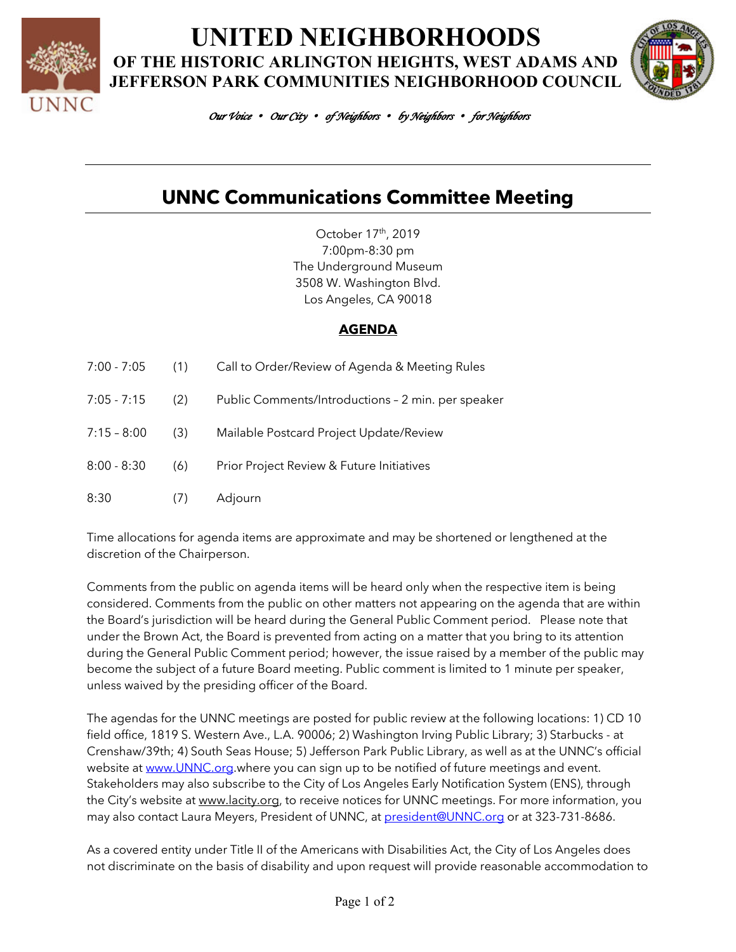

**UNITED NEIGHBORHOODS OF THE HISTORIC ARLINGTON HEIGHTS, WEST ADAMS AND JEFFERSON PARK COMMUNITIES NEIGHBORHOOD COUNCIL**



*Our Voice* • *Our City* • *of Neighbors* • *by Neighbors* • *for Neighbors* 

# **UNNC Communications Committee Meeting**

October 17th, 2019 7:00pm-8:30 pm The Underground Museum 3508 W. Washington Blvd. Los Angeles, CA 90018

#### **AGENDA**

| 7:00 - 7:05   | (1)       | Call to Order/Review of Agenda & Meeting Rules     |
|---------------|-----------|----------------------------------------------------|
| $7:05 - 7:15$ | (2)       | Public Comments/Introductions - 2 min. per speaker |
| $7:15 - 8:00$ | (3)       | Mailable Postcard Project Update/Review            |
| $8:00 - 8:30$ | (6)       | Prior Project Review & Future Initiatives          |
| 8:30          | $($ / $)$ | Adjourn                                            |

Time allocations for agenda items are approximate and may be shortened or lengthened at the discretion of the Chairperson.

Comments from the public on agenda items will be heard only when the respective item is being considered. Comments from the public on other matters not appearing on the agenda that are within the Board's jurisdiction will be heard during the General Public Comment period. Please note that under the Brown Act, the Board is prevented from acting on a matter that you bring to its attention during the General Public Comment period; however, the issue raised by a member of the public may become the subject of a future Board meeting. Public comment is limited to 1 minute per speaker, unless waived by the presiding officer of the Board.

The agendas for the UNNC meetings are posted for public review at the following locations: 1) CD 10 field office, 1819 S. Western Ave., L.A. 90006; 2) Washington Irving Public Library; 3) Starbucks - at Crenshaw/39th; 4) South Seas House; 5) Jefferson Park Public Library, as well as at the UNNC's official website at www.UNNC.org.where you can sign up to be notified of future meetings and event. Stakeholders may also subscribe to the City of Los Angeles Early Notification System (ENS), through the City's website at www.lacity.org, to receive notices for UNNC meetings. For more information, you may also contact Laura Meyers, President of UNNC, at president@UNNC.org or at 323-731-8686.

As a covered entity under Title II of the Americans with Disabilities Act, the City of Los Angeles does not discriminate on the basis of disability and upon request will provide reasonable accommodation to